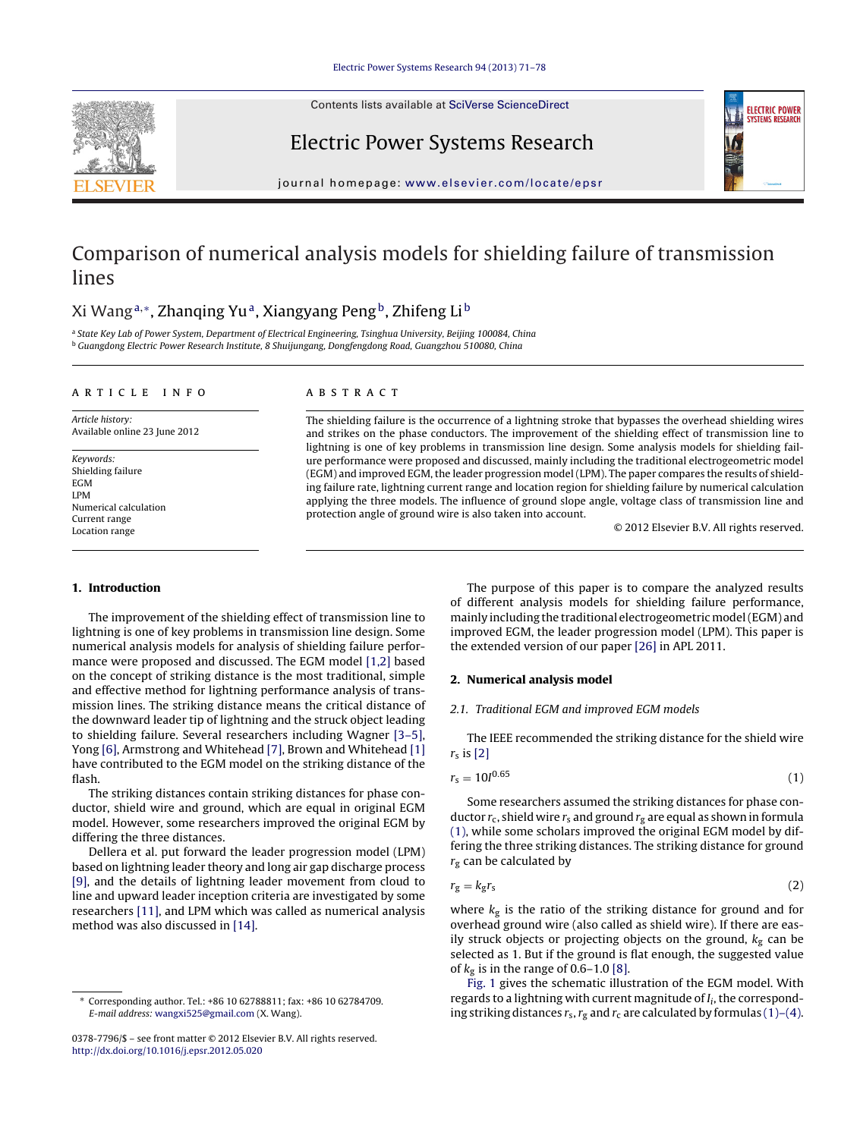Contents lists available at SciVerse [ScienceDirect](http://www.sciencedirect.com/science/journal/03787796)





Electric Power Systems Research

jour nal homepage: [www.elsevier.com/locate/epsr](http://www.elsevier.com/locate/epsr)

## Comparison of numerical analysis models for shielding failure of transmission lines

### Xi Wang<sup>a,∗</sup>, Zhanqing Yu<sup>a</sup>, Xiangyang Peng<sup>b</sup>, Zhifeng Li<sup>b</sup>

a State Key Lab of Power System, Department of Electrical Engineering, Tsinghua University, Beijing 100084, China <sup>b</sup> Guangdong Electric Power Research Institute, 8 Shuijungang, Dongfengdong Road, Guangzhou 510080, China

#### a r t i c l e i n f o

Article history: Available online 23 June 2012

Keywords: Shielding failure EGM LPM Numerical calculation Current range Location range

#### A B S T R A C T

The shielding failure is the occurrence of a lightning stroke that bypasses the overhead shielding wires and strikes on the phase conductors. The improvement of the shielding effect of transmission line to lightning is one of key problems in transmission line design. Some analysis models for shielding failure performance were proposed and discussed, mainly including the traditional electrogeometric model (EGM) and improved EGM, the leader progression model (LPM). The paper compares the results of shielding failure rate, lightning current range and location region for shielding failure by numerical calculation applying the three models. The influence of ground slope angle, voltage class of transmission line and protection angle of ground wire is also taken into account.

© 2012 Elsevier B.V. All rights reserved.

#### **1. Introduction**

The improvement of the shielding effect of transmission line to lightning is one of key problems in transmission line design. Some numerical analysis models for analysis of shielding failure performance were proposed and discussed. The EGM model [\[1,2\]](#page--1-0) based on the concept of striking distance is the most traditional, simple and effective method for lightning performance analysis of transmission lines. The striking distance means the critical distance of the downward leader tip of lightning and the struck object leading to shielding failure. Several researchers including Wagner [\[3–5\],](#page--1-0) Yong [\[6\],](#page--1-0) Armstrong and Whitehead [\[7\],](#page--1-0) Brown and Whitehead [\[1\]](#page--1-0) have contributed to the EGM model on the striking distance of the flash.

The striking distances contain striking distances for phase conductor, shield wire and ground, which are equal in original EGM model. However, some researchers improved the original EGM by differing the three distances.

Dellera et al. put forward the leader progression model (LPM) based on lightning leader theory and long air gap discharge process [\[9\],](#page--1-0) and the details of lightning leader movement from cloud to line and upward leader inception criteria are investigated by some researchers [\[11\],](#page--1-0) and LPM which was called as numerical analysis method was also discussed in [\[14\].](#page--1-0)

The purpose of this paper is to compare the analyzed results of different analysis models for shielding failure performance, mainly including the traditional electrogeometric model (EGM) and improved EGM, the leader progression model (LPM). This paper is the extended version of our paper [\[26\]](#page--1-0) in APL 2011.

#### **2. Numerical analysis model**

#### 2.1. Traditional EGM and improved EGM models

The IEEE recommended the striking distance for the shield wire  $r<sub>s</sub>$  is [\[2\]](#page--1-0)

$$
r_{\rm s} = 10I^{0.65} \tag{1}
$$

Some researchers assumed the striking distances for phase conductor  $r_c$ , shield wire  $r_s$  and ground  $r_g$  are equal as shown in formula (1), while some scholars improved the original EGM model by differing the three striking distances. The striking distance for ground  $r_{\rm g}$  can be calculated by

$$
r_g = k_g r_s \tag{2}
$$

where  $k_{\rm g}$  is the ratio of the striking distance for ground and for overhead ground wire (also called as shield wire). If there are easily struck objects or projecting objects on the ground,  $k<sub>g</sub>$  can be selected as 1. But if the ground is flat enough, the suggested value of  $k_g$  is in the range of 0.6–1.0 [\[8\].](#page--1-0)

[Fig.](#page-1-0) 1 gives the schematic illustration of the EGM model. With regards to a lightning with current magnitude of  $I_i$ , the corresponding striking distances  $r_s$ ,  $r_g$  and  $r_c$  are calculated by formulas (1)–(4).

<sup>∗</sup> Corresponding author. Tel.: +86 10 62788811; fax: +86 10 62784709. E-mail address: [wangxi525@gmail.com](mailto:wangxi525@gmail.com) (X. Wang).

<sup>0378-7796/\$</sup> – see front matter © 2012 Elsevier B.V. All rights reserved. [http://dx.doi.org/10.1016/j.epsr.2012.05.020](dx.doi.org/10.1016/j.epsr.2012.05.020)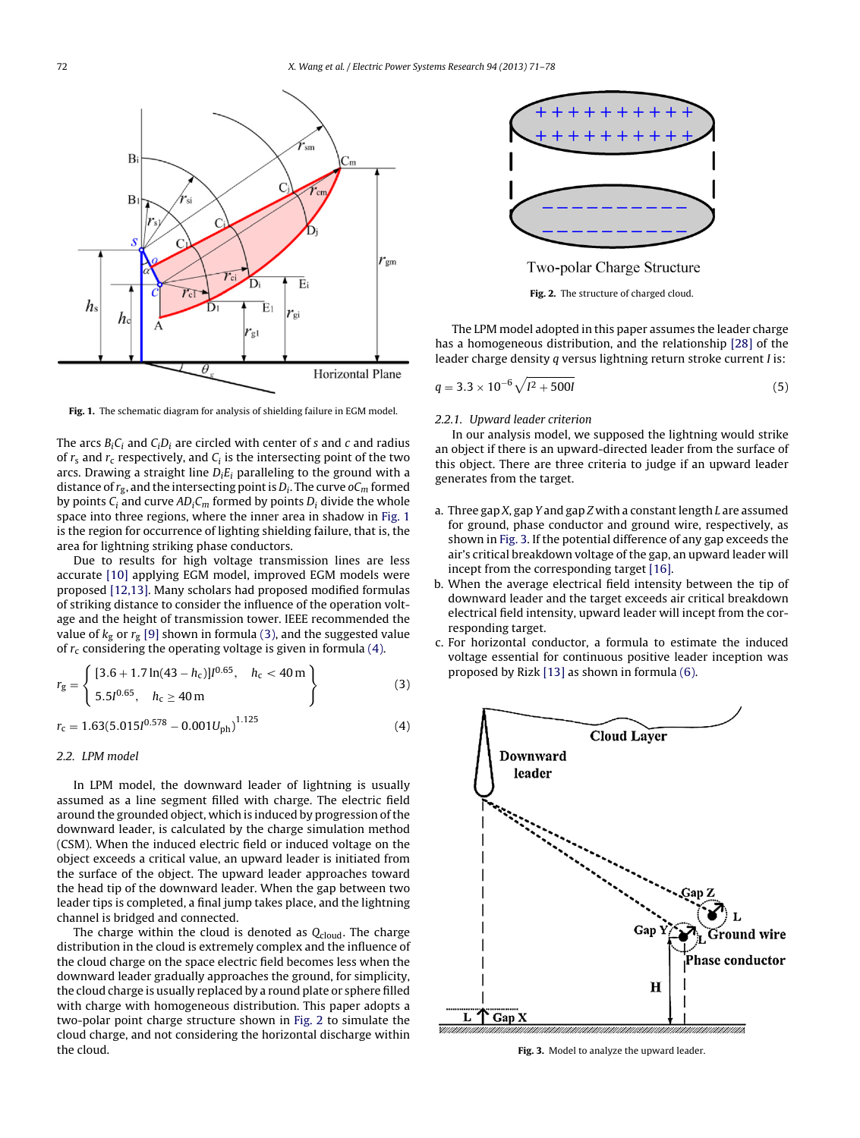<span id="page-1-0"></span>

**Fig. 1.** The schematic diagram for analysis of shielding failure in EGM model.

The arcs  $B_iC_i$  and  $C_iD_i$  are circled with center of s and c and radius of  $r_s$  and  $r_c$  respectively, and  $C_i$  is the intersecting point of the two arcs. Drawing a straight line  $D_i E_i$  paralleling to the ground with a distance of  $r_g$ , and the intersecting point is  $D_i$ . The curve o $C_m$  formed by points  $C_i$  and curve  $AD_iC_m$  formed by points  $D_i$  divide the whole space into three regions, where the inner area in shadow in Fig. 1 is the region for occurrence of lighting shielding failure, that is, the area for lightning striking phase conductors.

Due to results for high voltage transmission lines are less accurate [\[10\]](#page--1-0) applying EGM model, improved EGM models were proposed [\[12,13\].](#page--1-0) Many scholars had proposed modified formulas of striking distance to consider the influence of the operation voltage and the height of transmission tower. IEEE recommended the value of  $k<sub>g</sub>$  or  $r<sub>g</sub>$  [\[9\]](#page--1-0) shown in formula (3), and the suggested value of  $r_c$  considering the operating voltage is given in formula (4).

$$
r_{\rm g} = \begin{cases} [3.6 + 1.7 \ln(43 - h_{\rm c})] l^{0.65}, & h_{\rm c} < 40 \,\rm m \\ 5.5 l^{0.65}, & h_{\rm c} \ge 40 \,\rm m \end{cases} \tag{3}
$$

$$
r_{\rm c} = 1.63(5.015I^{0.578} - 0.001U_{\rm ph})^{1.125} \tag{4}
$$

#### 2.2. LPM model

In LPM model, the downward leader of lightning is usually assumed as a line segment filled with charge. The electric field around the grounded object, which is induced by progression of the downward leader, is calculated by the charge simulation method (CSM). When the induced electric field or induced voltage on the object exceeds a critical value, an upward leader is initiated from the surface of the object. The upward leader approaches toward the head tip of the downward leader. When the gap between two leader tips is completed, a final jump takes place, and the lightning channel is bridged and connected.

The charge within the cloud is denoted as  $Q_{cloud}$ . The charge distribution in the cloud is extremely complex and the influence of the cloud charge on the space electric field becomes less when the downward leader gradually approaches the ground, for simplicity, the cloud charge is usually replaced by a round plate or sphere filled with charge with homogeneous distribution. This paper adopts a two-polar point charge structure shown in Fig. 2 to simulate the cloud charge, and not considering the horizontal discharge within the cloud.



Two-polar Charge Structure



The LPM model adopted in this paper assumes the leader charge has a homogeneous distribution, and the relationship [\[28\]](#page--1-0) of the leader charge density q versus lightning return stroke current I is:

$$
q = 3.3 \times 10^{-6} \sqrt{I^2 + 500I} \tag{5}
$$

#### 2.2.1. Upward leader criterion

In our analysis model, we supposed the lightning would strike an object if there is an upward-directed leader from the surface of this object. There are three criteria to judge if an upward leader generates from the target.

- a. Three gap  $X$ , gap  $Y$  and gap  $Z$  with a constant length  $L$  are assumed for ground, phase conductor and ground wire, respectively, as shown in Fig. 3. If the potential difference of any gap exceeds the air's critical breakdown voltage of the gap, an upward leader will incept from the corresponding target [\[16\].](#page--1-0)
- b. When the average electrical field intensity between the tip of downward leader and the target exceeds air critical breakdown electrical field intensity, upward leader will incept from the corresponding target.
- c. For horizontal conductor, a formula to estimate the induced voltage essential for continuous positive leader inception was proposed by Rizk [\[13\]](#page--1-0) as shown in formula [\(6\).](#page--1-0)



**Fig. 3.** Model to analyze the upward leader.